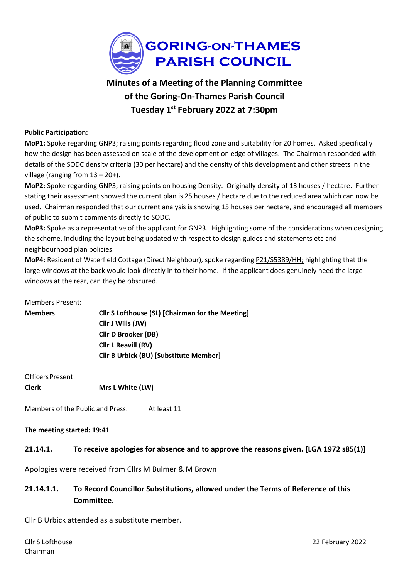

# **Minutes of a Meeting of the Planning Committee of the Goring-On-Thames Parish Council Tuesday 1 st February 2022 at 7:30pm**

#### **Public Participation:**

**MoP1:** Spoke regarding GNP3; raising points regarding flood zone and suitability for 20 homes. Asked specifically how the design has been assessed on scale of the development on edge of villages. The Chairman responded with details of the SODC density criteria (30 per hectare) and the density of this development and other streets in the village (ranging from 13 – 20+).

**MoP2:** Spoke regarding GNP3; raising points on housing Density. Originally density of 13 houses / hectare. Further stating their assessment showed the current plan is 25 houses / hectare due to the reduced area which can now be used. Chairman responded that our current analysis is showing 15 houses per hectare, and encouraged all members of public to submit comments directly to SODC.

**MoP3:** Spoke as a representative of the applicant for GNP3. Highlighting some of the considerations when designing the scheme, including the layout being updated with respect to design guides and statements etc and neighbourhood plan policies.

**MoP4:** Resident of Waterfield Cottage (Direct Neighbour), spoke regarding [P21/S5389/HH;](https://data.southoxon.gov.uk/ccm/support/Main.jsp?MODULE=ApplicationDetails&REF=P21/S5389/HH) highlighting that the large windows at the back would look directly in to their home. If the applicant does genuinely need the large windows at the rear, can they be obscured.

Members Present:

| Members | Cllr S Lofthouse (SL) [Chairman for the Meeting] |
|---------|--------------------------------------------------|
|         | Cllr J Wills (JW)                                |
|         | <b>Cllr D Brooker (DB)</b>                       |
|         | Cllr L Reavill (RV)                              |
|         | <b>Cllr B Urbick (BU) [Substitute Member]</b>    |
|         |                                                  |

Officers Present:

**Clerk Mrs L White (LW)**

Members of the Public and Press: At least 11

**The meeting started: 19:41**

### **21.14.1. To receive apologies for absence and to approve the reasons given. [LGA 1972 s85(1)]**

Apologies were received from Cllrs M Bulmer & M Brown

# **21.14.1.1. To Record Councillor Substitutions, allowed under the Terms of Reference of this Committee.**

Cllr B Urbick attended as a substitute member.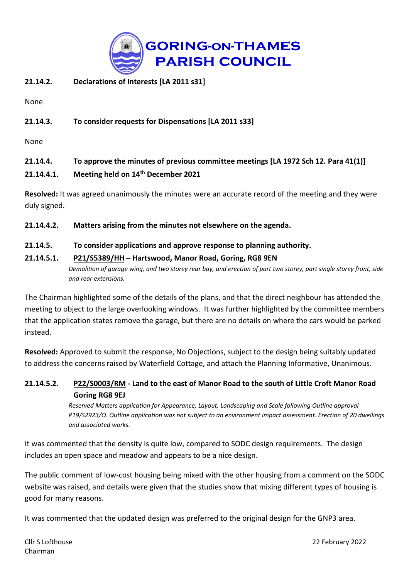

### **21.14.2. Declarations of Interests [LA 2011 s31]**

None

### **21.14.3. To consider requests for Dispensations [LA 2011 s33]**

None

# **21.14.4. To approve the minutes of previous committee meetings [LA 1972 Sch 12. Para 41(1)] 21.14.4.1. Meeting held on 14th December 2021**

**Resolved:** It was agreed unanimously the minutes were an accurate record of the meeting and they were duly signed.

### **21.14.4.2. Matters arising from the minutes not elsewhere on the agenda.**

### **21.14.5. To consider applications and approve response to planning authority.**

### **21.14.5.1. [P21/S5389/HH](https://data.southoxon.gov.uk/ccm/support/Main.jsp?MODULE=ApplicationDetails&REF=P21/S5389/HH) – Hartswood, Manor Road, Goring, RG8 9EN**

Demolition of garage wing, and two storey rear bay, and erection of part two storey, part single storey front, side *and rear extensions.*

The Chairman highlighted some of the details of the plans, and that the direct neighbour has attended the meeting to object to the large overlooking windows. It was further highlighted by the committee members that the application states remove the garage, but there are no details on where the cars would be parked instead.

**Resolved:** Approved to submit the response, No Objections, subject to the design being suitably updated to address the concerns raised by Waterfield Cottage, and attach the Planning Informative, Unanimous.

# **21.14.5.2. [P22/S0003/RM](https://data.southoxon.gov.uk/ccm/support/Main.jsp?MODULE=ApplicationDetails&REF=P22/S0003/RM) - Land to the east of Manor Road to the south of Little Croft Manor Road Goring RG8 9EJ**

*Reserved Matters application for Appearance, Layout, Landscaping and Scale following Outline approval P19/S2923/O. Outline application was not subject to an environment impact assessment. Erection of 20 dwellings and associated works.*

It was commented that the density is quite low, compared to SODC design requirements. The design includes an open space and meadow and appears to be a nice design.

The public comment of low-cost housing being mixed with the other housing from a comment on the SODC website was raised, and details were given that the studies show that mixing different types of housing is good for many reasons.

It was commented that the updated design was preferred to the original design for the GNP3 area.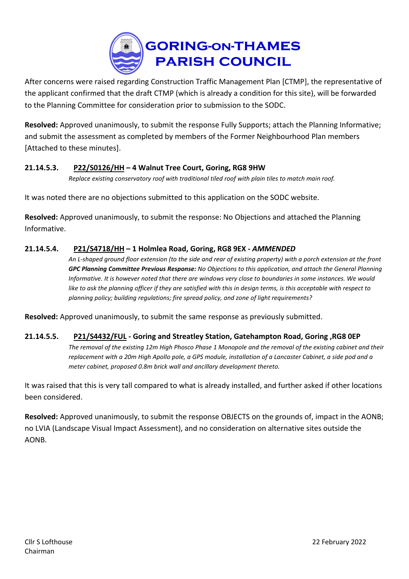

After concerns were raised regarding Construction Traffic Management Plan [CTMP], the representative of the applicant confirmed that the draft CTMP (which is already a condition for this site), will be forwarded to the Planning Committee for consideration prior to submission to the SODC.

**Resolved:** Approved unanimously, to submit the response Fully Supports; attach the Planning Informative; and submit the assessment as completed by members of the Former Neighbourhood Plan members [Attached to these minutes].

### **21.14.5.3. [P22/S0126/HH](https://data.southoxon.gov.uk/ccm/support/Main.jsp?MODULE=ApplicationDetails&REF=P22/S0126/HH) – 4 Walnut Tree Court, Goring, RG8 9HW**

*Replace existing conservatory roof with traditional tiled roof with plain tiles to match main roof.*

It was noted there are no objections submitted to this application on the SODC website.

**Resolved:** Approved unanimously, to submit the response: No Objections and attached the Planning Informative.

### **21.14.5.4. [P21/S4718/HH](https://data.southoxon.gov.uk/ccm/support/Main.jsp?MODULE=ApplicationDetails&REF=P21/S4718/HH) – 1 Holmlea Road, Goring, RG8 9EX -** *AMMENDED*

An L-shaped ground floor extension (to the side and rear of existing property) with a porch extension at the front *GPC Planning Committee Previous Response: No Objections to this application, and attach the General Planning* Informative. It is however noted that there are windows very close to boundaries in some instances. We would like to ask the planning officer if they are satisfied with this in design terms, is this acceptable with respect to *planning policy; building regulations; fire spread policy, and zone of light requirements?*

**Resolved:** Approved unanimously, to submit the same response as previously submitted.

*meter cabinet, proposed 0.8m brick wall and ancillary development thereto.*

### **21.14.5.5. [P21/S4432/FUL](https://data.southoxon.gov.uk/ccm/support/Main.jsp?MODULE=ApplicationDetails&REF=P21/S4432/FUL) - Goring and Streatley Station, Gatehampton Road, Goring ,RG8 0EP** The removal of the existing 12m High Phosco Phase 1 Monopole and the removal of the existing cabinet and their replacement with a 20m High Apollo pole, a GPS module, installation of a Lancaster Cabinet, a side pod and a

It was raised that this is very tall compared to what is already installed, and further asked if other locations been considered.

**Resolved:** Approved unanimously, to submit the response OBJECTS on the grounds of, impact in the AONB; no LVIA (Landscape Visual Impact Assessment), and no consideration on alternative sites outside the AONB.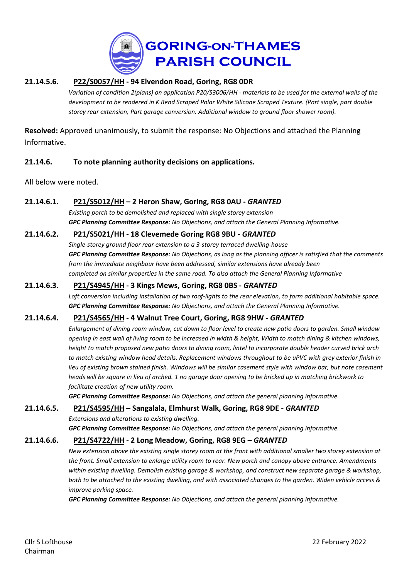

### **21.14.5.6. [P22/S0057/HH](https://data.southoxon.gov.uk/ccm/support/Main.jsp?MODULE=ApplicationDetails&REF=P22/S0057/HH) - 94 Elvendon Road, Goring, RG8 0DR**

Variation of condition 2(plans) on application [P20/S3006/HH](https://data.southoxon.gov.uk/ccm/support/Main.jsp?MODULE=ApplicationDetails&REF=P20/S3006/HH) - materials to be used for the external walls of the development to be rendered in K Rend Scraped Polar White Silicone Scraped Texture. (Part single, part double *storey rear extension, Part garage conversion. Additional window to ground floor shower room).*

**Resolved:** Approved unanimously, to submit the response: No Objections and attached the Planning Informative.

### **21.14.6. To note planning authority decisions on applications.**

All below were noted.

#### **21.14.6.1. [P21/S5012/HH](https://data.southoxon.gov.uk/ccm/support/Main.jsp?MODULE=ApplicationDetails&REF=P21/S5012/HH) – 2 Heron Shaw, Goring, RG8 0AU -** *GRANTED*

*Existing porch to be demolished and replaced with single storey extension GPC Planning Committee Response: No Objections, and attach the General Planning Informative.*

#### **21.14.6.2. [P21/S5021/HH](https://data.southoxon.gov.uk/ccm/support/Main.jsp?MODULE=ApplicationDetails&REF=P21/S5021/HH) - 18 Clevemede Goring RG8 9BU -** *GRANTED*

*Single-storey ground floor rear extension to a 3-storey terraced dwelling-house*

GPC Planning Committee Response: No Objections, as long as the planning officer is satisfied that the comments *from the immediate neighbour have been addressed, similar extensions have already been completed on similar properties in the same road. To also attach the General Planning Informative*

### **21.14.6.3. [P21/S4945/HH](https://data.southoxon.gov.uk/ccm/support/Main.jsp?MODULE=ApplicationDetails&REF=P21/S4945/HH) - 3 Kings Mews, Goring, RG8 0BS -** *GRANTED*

Loft conversion including installation of two roof-lights to the rear elevation, to form additional habitable space. *GPC Planning Committee Response: No Objections, and attach the General Planning Informative.*

### **21.14.6.4. [P21/S4565/HH](https://data.southoxon.gov.uk/ccm/support/Main.jsp?MODULE=ApplicationDetails&REF=P21/S4565/HH) - 4 Walnut Tree Court, Goring, RG8 9HW -** *GRANTED*

Enlargement of dining room window, cut down to floor level to create new patio doors to garden. Small window opening in east wall of living room to be increased in width & height, Width to match dining & kitchen windows, height to match proposed new patio doors to dining room, lintel to incorporate double header curved brick arch to match existing window head details. Replacement windows throughout to be uPVC with grey exterior finish in lieu of existing brown stained finish. Windows will be similar casement style with window bar, but note casement heads will be square in lieu of arched. 1 no garage door opening to be bricked up in matching brickwork to *facilitate creation of new utility room.*

*GPC Planning Committee Response: No Objections, and attach the general planning informative.*

#### **21.14.6.5. [P21/S4595/HH](https://data.southoxon.gov.uk/ccm/support/Main.jsp?MODULE=ApplicationDetails&REF=P21/S4595/HH) – Sangalala, Elmhurst Walk, Goring, RG8 9DE -** *GRANTED*

*Extensions and alterations to existing dwelling.*

*GPC Planning Committee Response: No Objections, and attach the general planning informative.*

### **21.14.6.6. [P21/S4722/HH](https://data.southoxon.gov.uk/ccm/support/Main.jsp?MODULE=ApplicationDetails&REF=P21/S4722/HH) - 2 Long Meadow, Goring, RG8 9EG –** *GRANTED*

New extension above the existing single storey room at the front with additional smaller two storey extension at the front. Small extension to enlarge utility room to rear. New porch and canopy above entrance. Amendments *within existing dwelling. Demolish existing garage & workshop, and construct new separate garage & workshop,* both to be attached to the existing dwelling, and with associated changes to the garden. Widen vehicle access & *improve parking space.*

*GPC Planning Committee Response: No Objections, and attach the general planning informative.*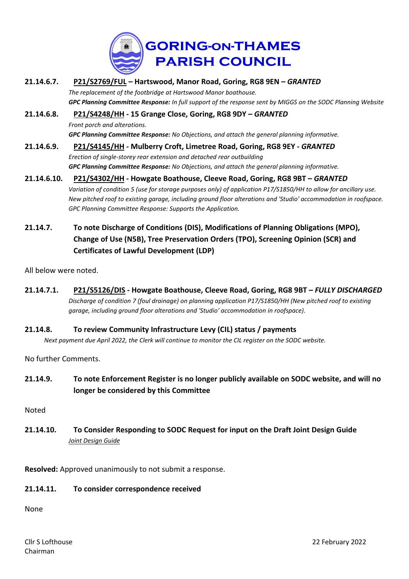

- **21.14.6.7. [P21/S2769/FUL](https://data.southoxon.gov.uk/ccm/support/Main.jsp?MODULE=ApplicationDetails&REF=P21/S2769/FUL) – Hartswood, Manor Road, Goring, RG8 9EN –** *GRANTED The replacement of the footbridge at Hartswood Manor boathouse.* GPC Planning Committee Response: In full support of the response sent by MIGGS on the SODC Planning Website **21.14.6.8. [P21/S4248/HH](https://data.southoxon.gov.uk/ccm/support/Main.jsp?MODULE=ApplicationDetails&REF=P21/S4248/HH) - 15 Grange Close, Goring, RG8 9DY –** *GRANTED Front porch and alterations. GPC Planning Committee Response: No Objections, and attach the general planning informative.* **21.14.6.9. [P21/S4145/HH](https://data.southoxon.gov.uk/ccm/support/Main.jsp?MODULE=ApplicationDetails&REF=P21/S4145/HH) - Mulberry Croft, Limetree Road, Goring, RG8 9EY -** *GRANTED Erection of single-storey rear extension and detached rear outbuilding GPC Planning Committee Response: No Objections, and attach the general planning informative.* **21.14.6.10. [P21/S4302/HH](https://data.southoxon.gov.uk/ccm/support/Main.jsp?MODULE=ApplicationDetails&REF=P21/S4302/HH) - Howgate Boathouse, Cleeve Road, Goring, RG8 9BT –** *GRANTED* Variation of condition 5 (use for storage purposes only) of application P17/S1850/HH to allow for ancillary use. *New pitched roof to existing garage, including ground floor alterations and 'Studio' accommodation in roofspace. GPC Planning Committee Response: Supports the Application.*
- **21.14.7. To note Discharge of Conditions (DIS), Modifications of Planning Obligations (MPO), Change of Use (N5B), Tree Preservation Orders (TPO), Screening Opinion (SCR) and Certificates of Lawful Development (LDP)**

All below were noted.

**21.14.7.1. [P21/S5126/DIS](https://data.southoxon.gov.uk/ccm/support/Main.jsp?MODULE=ApplicationDetails&REF=P21/S5126/DIS) - Howgate Boathouse, Cleeve Road, Goring, RG8 9BT –** *FULLY DISCHARGED Discharge of condition 7 (foul drainage) on planning application P17/S1850/HH (New pitched roof to existing garage, including ground floor alterations and 'Studio' accommodation in roofspace).*

#### **21.14.8. To review Community Infrastructure Levy (CIL) status / payments**

Next payment due April 2022, the Clerk will continue to monitor the CIL register on the SODC website.

No further Comments.

**21.14.9. To note Enforcement Register is no longer publicly available on SODC website, and will no longer be considered by this Committee**

Noted

**21.14.10. To Consider Responding to SODC Request for input on the Draft Joint Design Guide** *Joint [Design](https://data.southoxon.gov.uk/JDG/Guide.html) Guide*

**Resolved:** Approved unanimously to not submit a response.

#### **21.14.11. To consider correspondence received**

None